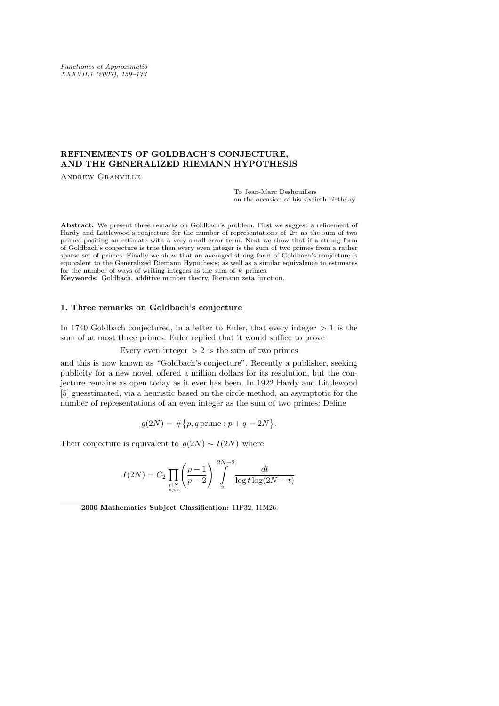Functiones et Approximatio XXXVII.1 (2007), 159–173

# **REFINEMENTS OF GOLDBACH'S CONJECTURE, AND THE GENERALIZED RIEMANN HYPOTHESIS**

Andrew Granville

To Jean-Marc Deshouillers on the occasion of his sixtieth birthday

Abstract: We present three remarks on Goldbach's problem. First we suggest a refinement of Hardy and Littlewood's conjecture for the number of representations of 2n as the sum of two primes positing an estimate with a very small error term. Next we show that if a strong form of Goldbach's conjecture is true then every even integer is the sum of two primes from a rather sparse set of primes. Finally we show that an averaged strong form of Goldbach's conjecture is equivalent to the Generalized Riemann Hypothesis; as well as a similar equivalence to estimates for the number of ways of writing integers as the sum of  $k$  primes. Keywords: Goldbach, additive number theory, Riemann zeta function.

## **1. Three remarks on Goldbach's conjecture**

In 1740 Goldbach conjectured, in a letter to Euler, that every integer *>* 1 is the sum of at most three primes. Euler replied that it would suffice to prove

Every even integer  $> 2$  is the sum of two primes

and this is now known as "Goldbach's conjecture". Recently a publisher, seeking publicity for a new novel, offered a million dollars for its resolution, but the conjecture remains as open today as it ever has been. In 1922 Hardy and Littlewood [5] guesstimated, via a heuristic based on the circle method, an asymptotic for the number of representations of an even integer as the sum of two primes: Define

$$
g(2N) = \#\{p, q \text{ prime} : p + q = 2N\}.
$$

Their conjecture is equivalent to  $g(2N) \sim I(2N)$  where

$$
I(2N) = C_2 \prod_{\substack{p|N \ p>2}} \left(\frac{p-1}{p-2}\right)^{2N-2} \int_{2}^{2N-2} \frac{dt}{\log t \log(2N-t)}
$$

2000 Mathematics Subject Classification: 11P32, 11M26.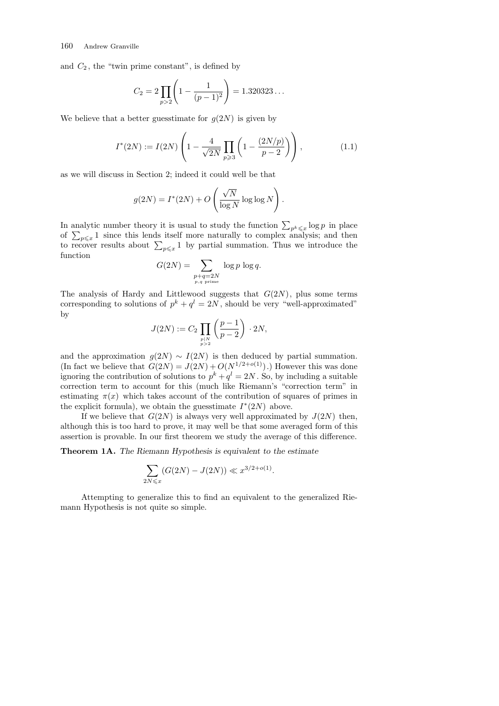and  $C_2$ , the "twin prime constant", is defined by

$$
C_2 = 2 \prod_{p>2} \left( 1 - \frac{1}{(p-1)^2} \right) = 1.320323\dots
$$

We believe that a better guesstimate for  $g(2N)$  is given by

$$
I^*(2N) := I(2N) \left( 1 - \frac{4}{\sqrt{2N}} \prod_{p \ge 3} \left( 1 - \frac{(2N/p)}{p-2} \right) \right), \tag{1.1}
$$

as we will discuss in Section 2; indeed it could well be that

$$
g(2N) = I^*(2N) + O\left(\frac{\sqrt{N}}{\log N} \log \log N\right).
$$

In analytic number theory it is usual to study the function  $\sum_{p^k \leq x} \log p$  in place In analytic number theory it is usual to study the function  $\sum_{p^k \leq x} \log p$  in place<br>of  $\sum_{p \leq x} 1$  since this lends itself more naturally to complex analysis; and then<br>to recover results about  $\sum_{p \leq x} 1$  by partial function

$$
G(2N) = \sum_{\substack{p+q=2N \ p,q \text{ prime}}} \log p \log q.
$$

The analysis of Hardy and Littlewood suggests that *G*(2*N*), plus some terms corresponding to solutions of  $p^k + q^l = 2N$ , should be very "well-approximated" by  $\overline{\phantom{a}}$  $\mathbf{r}$ 

$$
J(2N) := C_2 \prod_{p|N \atop p>2} \left( \frac{p-1}{p-2} \right) \cdot 2N,
$$

and the approximation  $g(2N) \sim I(2N)$  is then deduced by partial summation. (In fact we believe that  $G(2N) = J(2N) + O(N^{1/2+o(1)})$ .) However this was done ignoring the contribution of solutions to  $p^k + q^l = 2N$ . So, by including a suitable correction term to account for this (much like Riemann's "correction term" in estimating  $\pi(x)$  which takes account of the contribution of squares of primes in the explicit formula), we obtain the guesstimate  $I^*(2N)$  above.

If we believe that  $G(2N)$  is always very well approximated by  $J(2N)$  then, although this is too hard to prove, it may well be that some averaged form of this assertion is provable. In our first theorem we study the average of this difference.

**Theorem 1A.** *The Riemann Hypothesis is equivalent to the estimate*

$$
\sum_{2N \leq x} (G(2N) - J(2N)) \ll x^{3/2 + o(1)}.
$$

Attempting to generalize this to find an equivalent to the generalized Riemann Hypothesis is not quite so simple.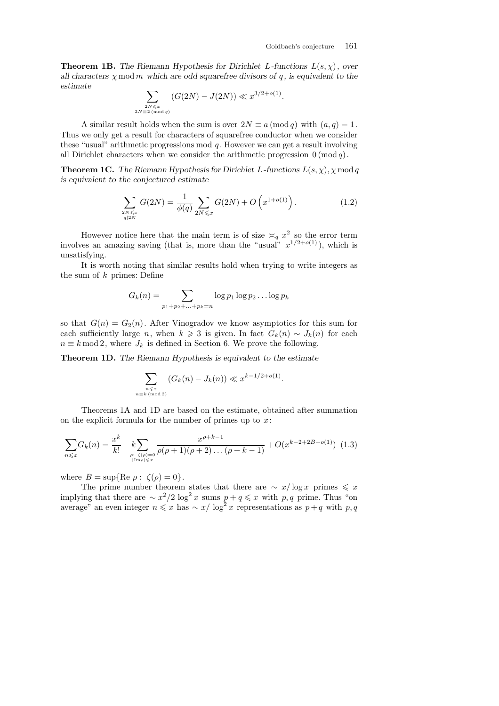**Theorem 1B.** *The Riemann Hypothesis for Dirichlet L*-functions  $L(s, \chi)$ , over *all characters*  $\chi$  mod  $m$  *which are odd squarefree divisors of*  $q$ , *is equivalent to the estimate*  $\overline{\phantom{a}}$ 

$$
\sum_{\substack{2N \leq x \\ 2N \equiv 2 \pmod{q}}} (G(2N) - J(2N)) \ll x^{3/2 + o(1)}.
$$

A similar result holds when the sum is over  $2N \equiv a \pmod{q}$  with  $(a, q) = 1$ . Thus we only get a result for characters of squarefree conductor when we consider these "usual" arithmetic progressions mod *q* . However we can get a result involving all Dirichlet characters when we consider the arithmetic progression 0 (mod *q*).

**Theorem 1C.** *The Riemann Hypothesis for Dirichlet L-functions*  $L(s, \chi)$ *,*  $\chi \mod q$ *is equivalent to the conjectured estimate*

$$
\sum_{\substack{2N \leq x \\ q|2N}} G(2N) = \frac{1}{\phi(q)} \sum_{2N \leq x} G(2N) + O\left(x^{1+o(1)}\right). \tag{1.2}
$$

However notice here that the main term is of size  $\leq_q x^2$  so the error term involves an amazing saving (that is, more than the "usual"  $x^{1/2+o(1)}$ ), which is unsatisfying.

It is worth noting that similar results hold when trying to write integers as the sum of *k* primes: Define

$$
G_k(n) = \sum_{p_1 + p_2 + \dots + p_k = n} \log p_1 \log p_2 \dots \log p_k
$$

so that  $G(n) = G_2(n)$ . After Vinogradov we know asymptotics for this sum for each sufficiently large *n*, when  $k \geq 3$  is given. In fact  $G_k(n) \sim J_k(n)$  for each  $n \equiv k \mod 2$ , where  $J_k$  is defined in Section 6. We prove the following.

**Theorem 1D.** *The Riemann Hypothesis is equivalent to the estimate*

$$
\sum_{\substack{n \leqslant x \\ n \equiv k \pmod{2}}} \left( G_k(n) - J_k(n) \right) \ll x^{k - 1/2 + o(1)}
$$

*.*

Theorems 1A and 1D are based on the estimate, obtained after summation on the explicit formula for the number of primes up to *x*:

$$
\sum_{n \leq x} G_k(n) = \frac{x^k}{k!} - k \sum_{\rho: \ \zeta(\rho) = 0 \atop |\text{Im}\rho| \leq x} \frac{x^{\rho+k-1}}{\rho(\rho+1)(\rho+2)\dots(\rho+k-1)} + O(x^{k-2+2B+o(1)}) \tag{1.3}
$$

where  $B = \sup \{ \text{Re } \rho : \zeta(\rho) = 0 \}.$ 

The prime number theorem states that there are  $\sim x/\log x$  primes  $\leq x$ implying that there are  $\sim x^2/2 \log^2 x$  sums  $p + q \leq x$  with  $p, q$  prime. Thus "on average" an even integer  $n \leq x$  has  $\sim x/\log^2 x$  representations as  $p+q$  with  $p,q$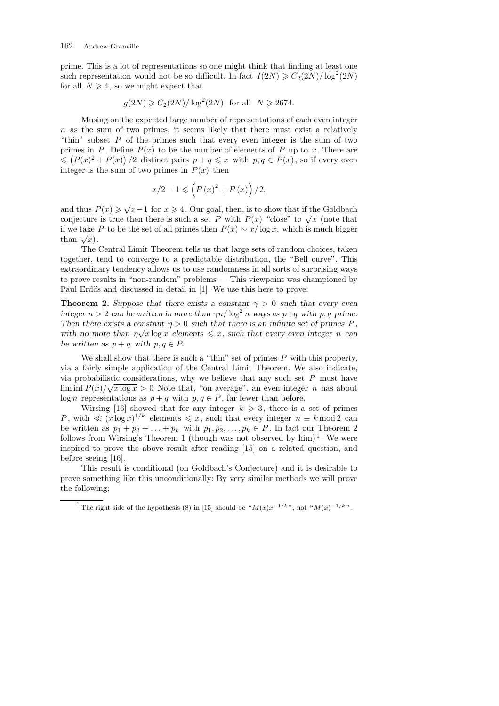prime. This is a lot of representations so one might think that finding at least one such representation would not be so difficult. In fact  $I(2N) \geqslant C_2(2N)/\log^2(2N)$ for all  $N \geq 4$ , so we might expect that

$$
g(2N) \ge C_2(2N)/\log^2(2N) \text{ for all } N \ge 2674.
$$

Musing on the expected large number of representations of each even integer *n* as the sum of two primes, it seems likely that there must exist a relatively "thin" subset *P* of the primes such that every even integer is the sum of two primes in *P*. Define  $P(x)$  to be the number of elements of *P* up to *x*. There are  $\leqslant$   $(P(x)^{2} + P(x))$  /2 distinct pairs  $p + q \leqslant x$  with  $p, q \in P(x)$ , so if every even integer is the sum of two primes in  $P(x)$  then

$$
x/2 - 1 \leqslant \left( P\left( x \right)^2 + P\left( x \right) \right) / 2,
$$

and thus  $P(x) \geqslant \sqrt{x-1}$  for  $x \geqslant 4$ . Our goal, then, is to show that if the Goldbach conjecture is true then there is such a set *P* with  $P(x)$  "close" to  $\sqrt{x}$  (note that if we take *P* to be the set of all primes then *P*(*x*) *∼ x/* log *x,* which is much bigger  $\lim_{x \to a}$  we take.

The Central Limit Theorem tells us that large sets of random choices, taken together, tend to converge to a predictable distribution, the "Bell curve". This extraordinary tendency allows us to use randomness in all sorts of surprising ways to prove results in "non-random" problems — This viewpoint was championed by Paul Erdös and discussed in detail in [1]. We use this here to prove:

**Theorem 2.** *Suppose that there exists a constant*  $\gamma > 0$  *such that every even integer*  $n > 2$  *can be written in more than*  $\gamma n / \log^2 n$  *ways as*  $p+q$  *with*  $p, q$  *prime. Then there exists a constant*  $\eta > 0$  *such that there is an infinite set of primes*  $P$ , *with no more than*  $\eta \sqrt{x \log x}$  *elements*  $\leq x$ *, such that every even integer n can be written as*  $p + q$  *with*  $p, q \in P$ .

We shall show that there is such a "thin" set of primes *P* with this property, via a fairly simple application of the Central Limit Theorem. We also indicate, via probabilistic considerations, why we believe that any such set *P* must have *√*  $\liminf P(x)/\sqrt{x \log x} > 0$  Note that, "on average", an even integer *n* has about log *n* representations as  $p + q$  with  $p, q \in P$ , far fewer than before.

Wirsing [16] showed that for any integer  $k \geq 3$ , there is a set of primes *P*, with  $\ll (x \log x)^{1/k}$  elements  $\leq x$ , such that every integer  $n \equiv k \mod 2$  can be written as  $p_1 + p_2 + \ldots + p_k$  with  $p_1, p_2, \ldots, p_k \in P$ . In fact our Theorem 2 follows from Wirsing's Theorem 1 (though was not observed by  $\text{him}$ )<sup>1</sup>. We were inspired to prove the above result after reading [15] on a related question, and before seeing [16].

This result is conditional (on Goldbach's Conjecture) and it is desirable to prove something like this unconditionally: By very similar methods we will prove the following:

<sup>&</sup>lt;sup>1</sup> The right side of the hypothesis (8) in [15] should be " $M(x)x^{-1/k}$ ", not " $M(x)^{-1/k}$ ".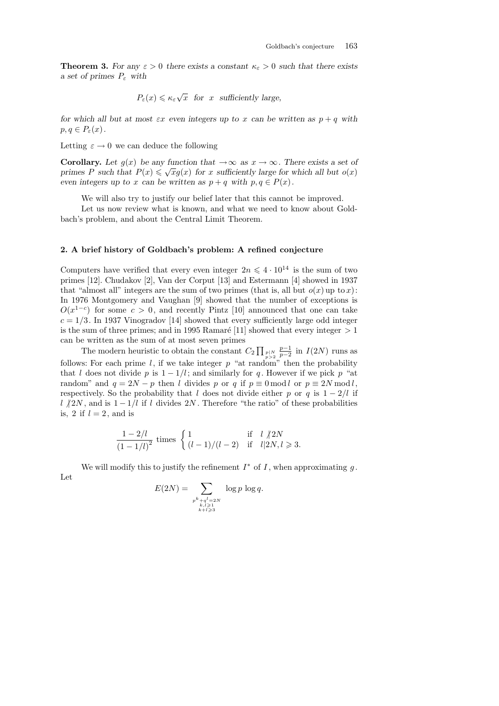**Theorem 3.** For any  $\varepsilon > 0$  there exists a constant  $\kappa_{\varepsilon} > 0$  such that there exists *a set of primes P<sup>ε</sup> with*

$$
P_{\varepsilon}(x) \leq \kappa_{\varepsilon}\sqrt{x}
$$
 for x sufficiently large,

*for which all but at most*  $\epsilon x$  *even integers up to*  $x$  *can be written as*  $p + q$  *with*  $p, q \in P_{\varepsilon}(x)$ .

Letting  $\varepsilon \to 0$  we can deduce the following

**Corollary.** Let  $g(x)$  be any function that  $\rightarrow \infty$  as  $x \rightarrow \infty$ . There exists a set of *primes P* such that  $P(x) \leq \sqrt{x}g(x)$  for *x* sufficiently large for which all but  $o(x)$ *even integers up to x can be written as*  $p + q$  *with*  $p, q \in P(x)$ .

We will also try to justify our belief later that this cannot be improved.

Let us now review what is known, and what we need to know about Goldbach's problem, and about the Central Limit Theorem.

## **2. A brief history of Goldbach's problem: A refined conjecture**

Computers have verified that every even integer  $2n \leq 4 \cdot 10^{14}$  is the sum of two primes [12]. Chudakov [2], Van der Corput [13] and Estermann [4] showed in 1937 that "almost all" integers are the sum of two primes (that is, all but  $o(x)$  up to *x*): In 1976 Montgomery and Vaughan [9] showed that the number of exceptions is  $O(x^{1-c})$  for some  $c > 0$ , and recently Pintz [10] announced that one can take  $c = 1/3$ . In 1937 Vinogradov [14] showed that every sufficiently large odd integer is the sum of three primes; and in 1995 Ramaré [11] showed that every integer  $> 1$ can be written as the sum of at most seven primes

The modern heuristic to obtain the constant  $C_2 \prod_{p>2} p_p$ *p*<sup>−1</sup> *p*<sup>−2</sup>
in *I*(2*N*) runs as follows: For each prime *l*, if we take integer  $p$  "at random" then the probability that *l* does not divide *p* is  $1 - 1/l$ ; and similarly for *q*. However if we pick *p* "at random" and  $q = 2N - p$  then *l* divides p or q if  $p \equiv 0 \mod l$  or  $p \equiv 2N \mod l$ , respectively. So the probability that *l* does not divide either *p* or *q* is  $1 - \frac{2}{l}$  if *l*  $\frac{1}{2}$ *N*, and is 1 − 1/*l* if *l* divides 2*N*. Therefore "the ratio" of these probabilities is, 2 if  $l = 2$ , and is

$$
\frac{1 - 2/l}{(1 - 1/l)^2} \text{ times } \begin{cases} 1 & \text{if } l \nmid 2N \\ (l - 1)/(l - 2) & \text{if } l \mid 2N, l \geq 3. \end{cases}
$$

We will modify this to justify the refinement  $I^*$  of  $I$ , when approximating  $g$ . Let

$$
E(2N) = \sum_{\substack{p^k + q^l = 2N \\ k, l \ge 1 \\ k+l \ge 3}} \log p \log q.
$$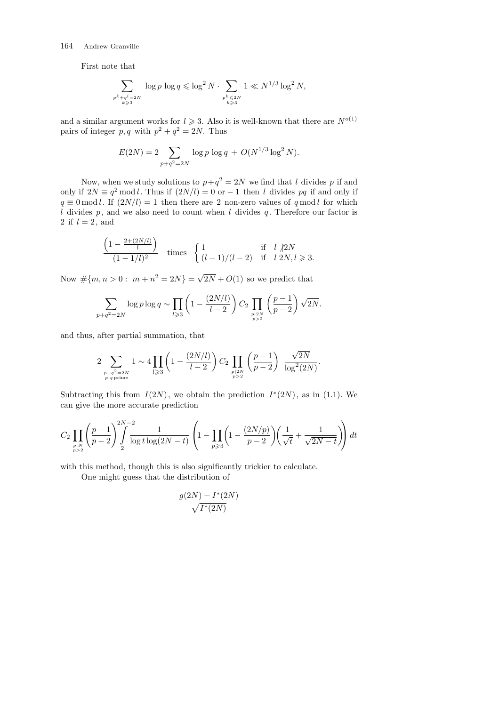First note that

 $\overline{a}$ 

$$
\sum_{\substack{p^k + q^l = 2N \\ k \ge 3}} \log p \log q \le \log^2 N \cdot \sum_{\substack{p^k \le 2N \\ k \ge 3}} 1 \ll N^{1/3} \log^2 N,
$$

and a similar argument works for  $l \geq 3$ . Also it is well-known that there are  $N^{o(1)}$ pairs of integer  $p, q$  with  $p^2 + q^2 = 2N$ . Thus

$$
E(2N) = 2 \sum_{p+q^2=2N} \log p \log q + O(N^{1/3} \log^2 N).
$$

Now, when we study solutions to  $p+q^2 = 2N$  we find that *l* divides p if and only if  $2N \equiv q^2 \mod l$ . Thus if  $(2N/l) = 0$  or −1 then *l* divides pq if and only if  $q \equiv 0 \mod l$ . If  $(2N/l) = 1$  then there are 2 non-zero values of  $q \mod l$  for which *l* divides  $p$ , and we also need to count when *l* divides  $q$ . Therefore our factor is 2 if  $l = 2$ , and

$$
\frac{\left(1 - \frac{2 + (2N/l)}{l}\right)}{(1 - 1/l)^2} \quad \text{times} \quad \begin{cases} 1 & \text{if} \quad l \not| 2N \\ (l - 1)/(l - 2) & \text{if} \quad l | 2N, l \geq 3. \end{cases}
$$

Now  $\#\{m, n > 0 : m + n^2 = 2N\} = \sqrt{2\pi}$  $2N + O(1)$  so we predict that

$$
\sum_{p+q^2=2N} \log p \log q \sim \prod_{l \geqslant 3} \left(1 - \frac{(2N/l)}{l-2}\right) C_2 \prod_{\substack{p|2N \ p>2}} \left(\frac{p-1}{p-2}\right) \sqrt{2N}.
$$

and thus, after partial summation, that

$$
2\sum_{\substack{p+q^2=2N \ p,q \,\mathrm{prime}}} 1 \sim 4 \prod_{l \geqslant 3} \left(1 - \frac{(2N/l)}{l-2} \right) C_2 \prod_{\substack{p|2N \ p>2}} \left( \frac{p-1}{p-2} \right) \frac{\sqrt{2N}}{\log^2(2N)}.
$$

Subtracting this from  $I(2N)$ , we obtain the prediction  $I^*(2N)$ , as in (1.1). We can give the more accurate prediction

$$
C_2 \prod_{\substack{p \mid N \\ p>2}} \left( \frac{p-1}{p-2} \right) \int\limits_{2}^{2N-2} \frac{1}{\log t \log (2N-t)} \left( 1 - \prod_{p \geqslant 3} \left( 1 - \frac{(2N/p)}{p-2} \right) \left( \frac{1}{\sqrt{t}} + \frac{1}{\sqrt{2N-t}} \right) \right) dt
$$

with this method, though this is also significantly trickier to calculate.

One might guess that the distribution of

$$
\frac{g(2N)-I^*(2N)}{\sqrt{I^*(2N)}}
$$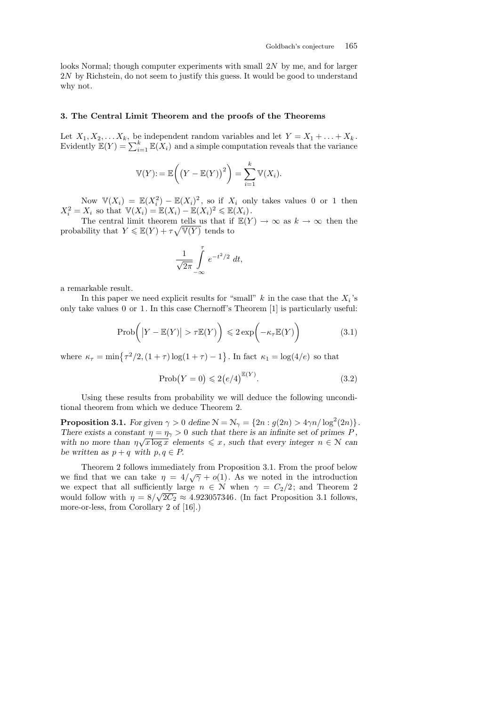looks Normal; though computer experiments with small 2*N* by me, and for larger 2*N* by Richstein, do not seem to justify this guess. It would be good to understand why not.

## **3. The Central Limit Theorem and the proofs of the Theorems**

Let  $X_1, X_2, \ldots X_k$ , be independent random variables and let  $Y = X_1 + \ldots + X_k$ .<br>Evidently  $\mathbb{E}(Y) = \sum_{i=1}^k \mathbb{E}(X_i)$  and a simple computation reveals that the variance

$$
\mathbb{V}(Y) := \mathbb{E}\left(\left(Y - \mathbb{E}(Y)\right)^2\right) = \sum_{i=1}^k \mathbb{V}(X_i).
$$

Now  $\mathbb{V}(X_i) = \mathbb{E}(X_i^2) - \mathbb{E}(X_i)^2$ , so if  $X_i$  only takes values 0 or 1 then  $X_i^2 = X_i$  so that  $\mathbb{V}(X_i) = \mathbb{E}(X_i) - \mathbb{E}(X_i)^2 \leq \mathbb{E}(X_i)$ .

The central limit theorem tells us that if  $\mathbb{E}(Y) \to \infty$  as  $k \to \infty$  then the probability that  $Y \n\t\leq \mathbb{E}(Y) + \tau \sqrt{\mathbb{V}(Y)}$  tends to

$$
\frac{1}{\sqrt{2\pi}}\int\limits_{-\infty}^{\tau}e^{-t^2/2}\;dt,
$$

a remarkable result.

In this paper we need explicit results for "small"  $k$  in the case that the  $X_i$ 's only take values 0 or 1. In this case Chernoff's Theorem [1] is particularly useful:

$$
\mathrm{Prob}\bigg(\big|Y - \mathbb{E}(Y)\big| > \tau \mathbb{E}(Y)\bigg) \leqslant 2\exp\bigg(-\kappa_{\tau}\mathbb{E}(Y)\bigg) \tag{3.1}
$$

where  $\kappa_{\tau} = \min\{\tau^2/2, (1+\tau)\log(1+\tau) - 1\}$ . In fact  $\kappa_1 = \log(4/e)$  so that

$$
\text{Prob}(Y=0) \leqslant 2\big(e/4\big)^{\mathbb{E}(Y)}.\tag{3.2}
$$

Using these results from probability we will deduce the following unconditional theorem from which we deduce Theorem 2.

**Proposition 3.1.** For given  $\gamma > 0$  define  $\mathcal{N} = \mathcal{N}_{\gamma} = \{2n : g(2n) > 4\gamma n / \log^2(2n)\}.$ *There exists a constant*  $\eta = \eta_{\gamma} > 0$  *such that there is an infinite set of primes P*, *with no more than*  $\eta \sqrt{x \log x}$  *elements*  $\leq x$ *, such that every integer*  $n \in \mathbb{N}$  *can be written as*  $p + q$  *with*  $p, q \in P$ .

Theorem 2 follows immediately from Proposition 3.1. From the proof below we find that we can take  $\eta = 4/\sqrt{\gamma} + o(1)$ . As we noted in the introduction we expect that all sufficiently large  $n \in \mathbb{N}$  when  $\gamma = C_2/2$ ; and Theorem 2 would follow with  $\eta = 8/\sqrt{2C_2} \approx 4.923057346$ . (In fact Proposition 3.1 follows, more-or-less, from Corollary 2 of [16].)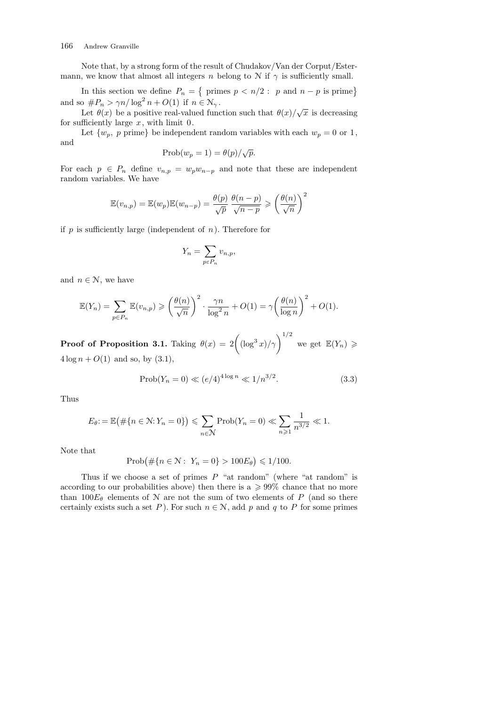Note that, by a strong form of the result of Chudakov/Van der Corput/Estermann, we know that almost all integers *n* belong to  $N$  if  $\gamma$  is sufficiently small.

In this section we define  $P_n =$ { primes  $p < n/2$  : *p* and  $n - p$  is prime} and so  $\#P_n > \gamma n / \log^2 n + O(1)$  if  $n \in \mathbb{N}_{\gamma}$ .

 $\mathcal{L} \mathcal{L} + \mathcal{L}(\mathcal{L})$  be a positive real-valued function such that  $\theta(x)/\sqrt{x}$  is decreasing for sufficiently large *x*, with limit 0.

Let  $\{w_p, p \text{ prime}\}\$  be independent random variables with each  $w_p = 0$  or 1, and

$$
\text{Prob}(w_p = 1) = \theta(p) / \sqrt{p}.
$$

For each  $p \in P_n$  define  $v_{n,p} = w_p w_{n-p}$  and note that these are independent random variables. We have

$$
\mathbb{E}(v_{n,p}) = \mathbb{E}(w_p)\mathbb{E}(w_{n-p}) = \frac{\theta(p)}{\sqrt{p}}\frac{\theta(n-p)}{\sqrt{n-p}} \geqslant \left(\frac{\theta(n)}{\sqrt{n}}\right)^2
$$

if *p* is sufficiently large (independent of *n*). Therefore for

$$
Y_n = \sum_{p \in P_n} v_{n,p},
$$

and  $n \in \mathcal{N}$ , we have

$$
\mathbb{E}(Y_n) = \sum_{p \in P_n} \mathbb{E}(v_{n,p}) \geqslant \left(\frac{\theta(n)}{\sqrt{n}}\right)^2 \cdot \frac{\gamma n}{\log^2 n} + O(1) = \gamma \left(\frac{\theta(n)}{\log n}\right)^2 + O(1).
$$

**Proof of Proposition 3.1.** Taking  $\theta(x) = 2\left( (\log^3 x)/\gamma \right)^{1/2}$  we get  $\mathbb{E}(Y_n) \geq 0$  $4 \log n + O(1)$  and so, by  $(3.1)$ ,

$$
\text{Prob}(Y_n = 0) \ll (e/4)^{4\log n} \ll 1/n^{3/2}.
$$
 (3.3)

Thus

$$
E_{\theta} := \mathbb{E}(\#\{n \in \mathbb{N}: Y_n = 0\}) \leqslant \sum_{n \in \mathbb{N}} \operatorname{Prob}(Y_n = 0) \ll \sum_{n \geqslant 1} \frac{1}{n^{3/2}} \ll 1.
$$

Note that

$$
Prob(\#\{n \in \mathbb{N}: Y_n = 0\} > 100E_\theta) \le 1/100.
$$

Thus if we choose a set of primes *P* "at random" (where "at random" is according to our probabilities above) then there is a  $\geqslant$  99% chance that no more than  $100E_{\theta}$  elements of N are not the sum of two elements of P (and so there certainly exists such a set *P*). For such  $n \in \mathcal{N}$ , add *p* and *q* to *P* for some primes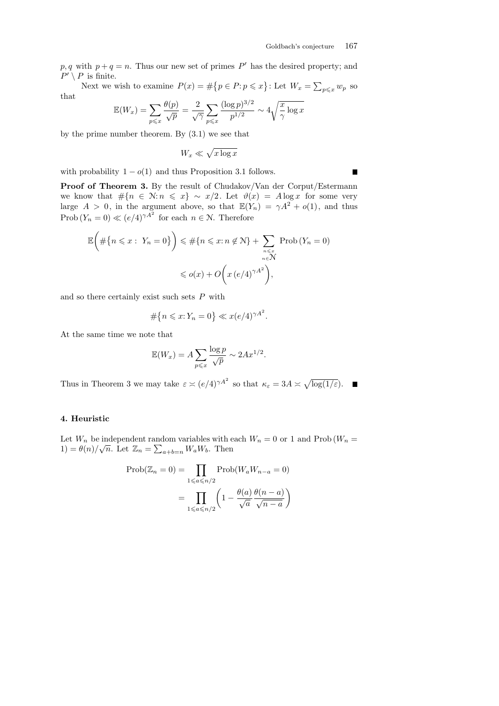$p, q$  with  $p + q = n$ . Thus our new set of primes  $P'$  has the desired property; and  $P' \setminus P$  is finite.  $\overline{a}$ 

Next we wish to examine  $P(x) = \#\{p \in P : p \leq x\}$ : Let  $W_x = \sum_{p \leqslant x} w_p$  so that

$$
\mathbb{E}(W_x) = \sum_{p \leqslant x} \frac{\theta(p)}{\sqrt{p}} = \frac{2}{\sqrt{\gamma}} \sum_{p \leqslant x} \frac{(\log p)^{3/2}}{p^{1/2}} \sim 4\sqrt{\frac{x}{\gamma} \log x}
$$

by the prime number theorem. By (3.1) we see that

$$
W_x \ll \sqrt{x \log x}
$$

with probability  $1 - o(1)$  and thus Proposition 3.1 follows.

**Proof of Theorem 3.** By the result of Chudakov/Van der Corput/Estermann we know that  $\#\{n \in \mathbb{N} : n \leq x\} \sim x/2$ . Let  $\vartheta(x) = A \log x$  for some very large  $A > 0$ , in the argument above, so that  $\mathbb{E}(Y_n) = \gamma A^2 + o(1)$ , and thus Prob  $(Y_n = 0) \ll (e/4)^{\gamma A^2}$  for each  $n \in \mathbb{N}$ . Therefore

$$
\mathbb{E}\left(\#\{n \leq x : Y_n = 0\}\right) \leq \#\{n \leq x : n \notin \mathbb{N}\} + \sum_{\substack{n \leq x \\ n \in \mathbb{N} \\ n \in \mathbb{N}}} \text{Prob}\left(Y_n = 0\right)
$$

$$
\leq o(x) + O\left(x\left(e/4\right)^{\gamma A^2}\right),
$$

and so there certainly exist such sets *P* with

$$
\#\{n \leqslant x: Y_n = 0\} \ll x(e/4)^{\gamma A^2}.
$$

At the same time we note that

$$
\mathbb{E}(W_x) = A \sum_{p \leqslant x} \frac{\log p}{\sqrt{p}} \sim 2Ax^{1/2}.
$$

Thus in Theorem 3 we may take  $\varepsilon \asymp (e/4)^{\gamma A^2}$  so that  $\kappa_{\varepsilon} = 3A \asymp$ p log(1*/ε*)*.*

### **4. Heuristic**

Let  $W_n$  be independent random variables with each  $W_n = 0$  or 1 and Prob  $(W_n = 1)$  $1$ ) =  $\theta(n)/\sqrt{n}$ . Let  $\mathbb{Z}_n = \sum_{a+b=n} W_a W_b$ . Then

$$
\text{Prob}(\mathbb{Z}_n = 0) = \prod_{1 \leq a \leq n/2} \text{Prob}(W_a W_{n-a} = 0)
$$

$$
= \prod_{1 \leq a \leq n/2} \left(1 - \frac{\theta(a)}{\sqrt{a}} \frac{\theta(n-a)}{\sqrt{n-a}}\right)
$$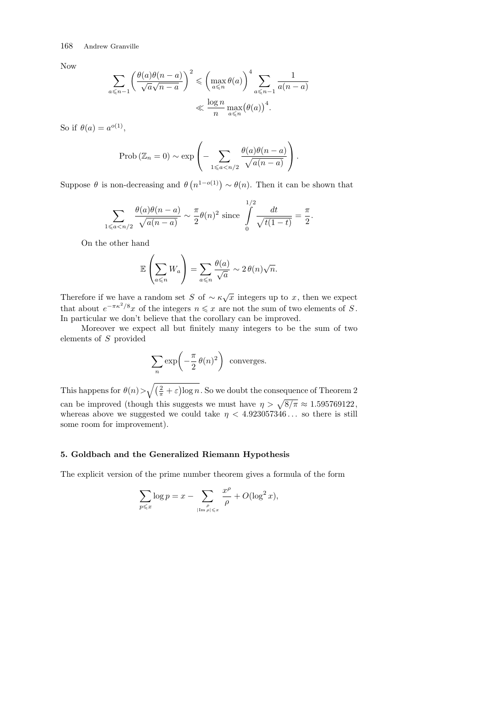Now

$$
\sum_{a \leq n-1} \left( \frac{\theta(a)\theta(n-a)}{\sqrt{a}\sqrt{n-a}} \right)^2 \leq \left( \max_{a \leq n} \theta(a) \right)^4 \sum_{a \leq n-1} \frac{1}{a(n-a)} \leq \frac{\log n}{n} \max_{a \leq n} (\theta(a))^4.
$$

So if  $\theta(a) = a^{o(1)}$ ,

$$
\text{Prob}\left(\mathbb{Z}_n = 0\right) \sim \exp\left(-\sum_{1 \leq a < n/2} \frac{\theta(a)\theta(n-a)}{\sqrt{a(n-a)}}\right).
$$

Suppose *θ* is non-decreasing and *θ*  $n^{1-o(1)}$   $\sim \theta(n)$ . Then it can be shown that

$$
\sum_{1 \leqslant a < n/2} \frac{\theta(a)\theta(n-a)}{\sqrt{a(n-a)}} \sim \frac{\pi}{2}\theta(n)^2 \text{ since } \int\limits_{0}^{1/2} \frac{dt}{\sqrt{t(1-t)}} = \frac{\pi}{2}.
$$

On the other hand

$$
\mathbb{E}\left(\sum_{a\leqslant n}W_a\right)=\sum_{a\leqslant n}\frac{\theta(a)}{\sqrt{a}}\sim 2\,\theta(n)\sqrt{n}.
$$

Therefore if we have a random set *S* of  $\sim \kappa \sqrt{x}$  integers up to *x*, then we expect that about  $e^{-\pi \kappa^2/8}x$  of the integers  $n \leq x$  are not the sum of two elements of *S*. In particular we don't believe that the corollary can be improved.

Moreover we expect all but finitely many integers to be the sum of two elements of *S* provided

$$
\sum_{n} \exp\left(-\frac{\pi}{2} \theta(n)^2\right) \text{ converges.}
$$

This happens for *θ*(*n*)*>*  $\sqrt{(\frac{2}{\pi} + \varepsilon)}$  $\overline{a}$ log *n*. So we doubt the consequence of Theorem 2 can be improved (though this suggests we must have  $\eta > \sqrt{8/\pi} \approx 1.595769122$ , whereas above we suggested we could take  $\eta$  < 4.923057346... so there is still some room for improvement).

# **5. Goldbach and the Generalized Riemann Hypothesis**

The explicit version of the prime number theorem gives a formula of the form

$$
\sum_{p \leqslant x} \log p = x - \sum_{\substack{\rho \\ |\text{Im}\,\rho| \leqslant x}} \frac{x^{\rho}}{\rho} + O(\log^2 x),
$$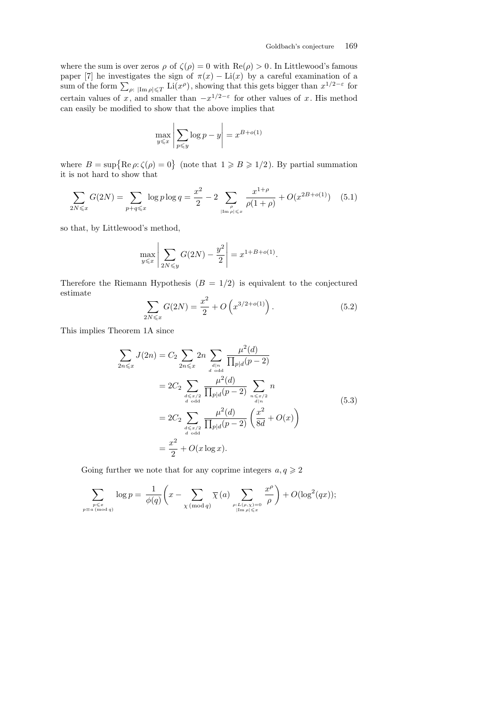where the sum is over zeros  $\rho$  of  $\zeta(\rho) = 0$  with  $\text{Re}(\rho) > 0$ . In Littlewood's famous paper [7] he investigates the sign of  $\pi(x) - \text{Li}(x)$  by a careful examination of a  $\sum_{p:\text{ }|\text{Im } \rho| \leqslant T}$  Li(*x*<sup>*p*</sup>), showing that this gets bigger than  $x^{1/2-\varepsilon}$  for certain values of *x*, and smaller than  $-x^{1/2-\epsilon}$  for other values of *x*. His method can easily be modified to show that the above implies that

$$
\max_{y \leq x} \left| \sum_{p \leq y} \log p - y \right| = x^{B + o(1)}
$$

where  $B = \sup \{ \text{Re } \rho : \zeta(\rho) = 0 \}$  (note that  $1 \ge B \ge 1/2$ ). By partial summation it is not hard to show that

$$
\sum_{2N \leq x} G(2N) = \sum_{p+q \leq x} \log p \log q = \frac{x^2}{2} - 2 \sum_{\substack{\rho \\ |\text{Im}\,\rho| \leq x}} \frac{x^{1+\rho}}{\rho(1+\rho)} + O(x^{2B+o(1)}) \quad (5.1)
$$

so that, by Littlewood's method,

$$
\max_{y \leq x} \left| \sum_{2N \leq y} G(2N) - \frac{y^2}{2} \right| = x^{1 + B + o(1)}.
$$

Therefore the Riemann Hypothesis  $(B = 1/2)$  is equivalent to the conjectured estimate  $\overline{\phantom{a}}$ 

$$
\sum_{2N\leq x} G(2N) = \frac{x^2}{2} + O\left(x^{3/2 + o(1)}\right). \tag{5.2}
$$

This implies Theorem 1A since

$$
\sum_{2n \leq x} J(2n) = C_2 \sum_{2n \leq x} 2n \sum_{\substack{d \mid n \\ d \text{ odd}}} \frac{\mu^2(d)}{\prod_{p|d} (p-2)}
$$
  
=  $2C_2 \sum_{\substack{d \leq x/2 \\ d \text{ odd}}} \frac{\mu^2(d)}{\prod_{p|d} (p-2)} \sum_{\substack{n \leq x/2 \\ d|n \\ d \text{ odd}}} n$   
=  $2C_2 \sum_{\substack{d \leq x/2 \\ d \text{ odd}}} \frac{\mu^2(d)}{\prod_{p|d} (p-2)} \left(\frac{x^2}{8d} + O(x)\right)$   
=  $\frac{x^2}{2} + O(x \log x).$  (5.3)

Going further we note that for any coprime integers  $a, q \geq 2$ 

$$
\sum_{\substack{p \leq x \\ p \equiv a \pmod{q}}} \log p = \frac{1}{\phi(q)} \left( x - \sum_{\substack{\chi \pmod{q} \\ \chi \pmod{q}}} \overline{\chi}(a) \sum_{\substack{\rho: L(\rho, \chi) = 0 \\ |\text{Im } \rho| \leq x}} \frac{x^{\rho}}{\rho} \right) + O(\log^2(qx));
$$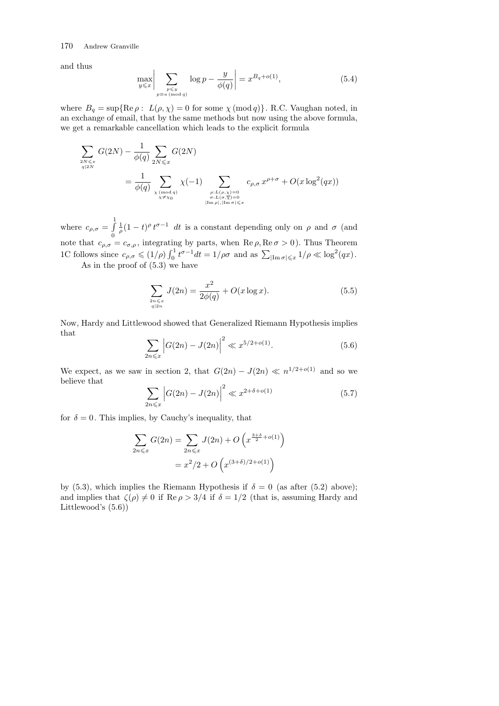and thus

$$
\max_{y \leqslant x} \bigg| \sum_{\substack{p \leqslant y \\ p \equiv a \pmod{q}}} \log p - \frac{y}{\phi(q)} \bigg| = x^{B_q + o(1)},\tag{5.4}
$$

where  $B_q = \sup\{\text{Re }\rho: L(\rho, \chi) = 0 \text{ for some } \chi \pmod{q}\}\.$  R.C. Vaughan noted, in an exchange of email, that by the same methods but now using the above formula, we get a remarkable cancellation which leads to the explicit formula

$$
\sum_{\substack{2N \leqslant x \\ q \nmid 2N}} G(2N) - \frac{1}{\phi(q)} \sum_{\substack{2N \leqslant x \\ \chi \pmod{q}}} G(2N)
$$
\n
$$
= \frac{1}{\phi(q)} \sum_{\substack{\chi \pmod{q} \\ \chi \neq \chi_0}} \chi(-1) \sum_{\substack{\rho: L(\rho,\chi)=0 \\ \sigma: L(\sigma,\overline{\chi})=0 \\ |\operatorname{Im}\rho|, |\operatorname{Im}\sigma| \leqslant x}} c_{\rho,\sigma} x^{\rho+\sigma} + O(x \log^2(qx))
$$

where  $c_{\rho,\sigma} =$  $\frac{1}{6}$ 0  $\frac{1}{\rho}(1-t)^{\rho}t^{\sigma-1}$  *dt* is a constant depending only on  $\rho$  and  $\sigma$  (and note that  $c_{\rho,\sigma} = c_{\sigma,\rho}$ , integrating by parts, when Re  $\rho$ , Re  $\sigma > 0$ ). Thus Theorem 1C follows since  $c_{\rho,\sigma} \leq (1/\rho) \int_0^1$  $\int_0^1 t^{\sigma-1} dt = 1/\rho \sigma$  and as  $\sum_{|\text{Im } \sigma| \leq x} 1/\rho \ll \log^2(qx)$ . As in the proof of (5.3) we have

$$
\sum_{\substack{2n \leq x \\ q|2n}} J(2n) = \frac{x^2}{2\phi(q)} + O(x \log x). \tag{5.5}
$$

Now, Hardy and Littlewood showed that Generalized Riemann Hypothesis implies that  $\overline{1}$ l,

$$
\sum_{2n \leq x} \left| G(2n) - J(2n) \right|^2 \ll x^{5/2 + o(1)}.
$$
\n(5.6)

We expect, as we saw in section 2, that  $G(2n) - J(2n) \ll n^{1/2 + o(1)}$  and so we believe that l, l,

$$
\sum_{2n \leq x} \left| G(2n) - J(2n) \right|^2 \ll x^{2 + \delta + o(1)} \tag{5.7}
$$

for  $\delta = 0$ . This implies, by Cauchy's inequality, that

$$
\sum_{2n \leq x} G(2n) = \sum_{2n \leq x} J(2n) + O\left(x^{\frac{3+\delta}{2} + o(1)}\right)
$$

$$
= x^2/2 + O\left(x^{(3+\delta)/2 + o(1)}\right)
$$

by (5.3), which implies the Riemann Hypothesis if  $\delta = 0$  (as after (5.2) above); and implies that  $\zeta(\rho) \neq 0$  if Re $\rho > 3/4$  if  $\delta = 1/2$  (that is, assuming Hardy and Littlewood's (5.6))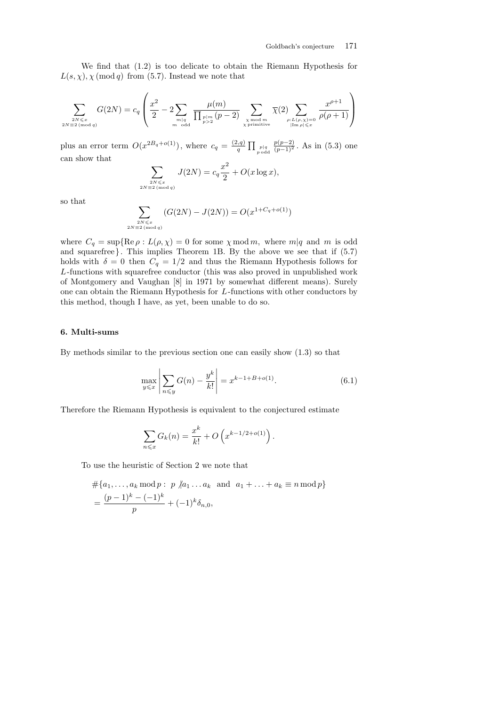We find that (1.2) is too delicate to obtain the Riemann Hypothesis for  $L(s, \chi)$ ,  $\chi \pmod{q}$  from (5.7). Instead we note that

$$
\sum_{\substack{2N \leq x \\ 2N \equiv 2 \pmod{q}}} G(2N) = c_q \left( \frac{x^2}{2} - 2 \sum_{\substack{m|q \\ m \text{ odd}}} \frac{\mu(m)}{\prod_{\substack{p|m \\ p>2}} (p-2)} \sum_{\substack{\chi \bmod{m} \\ \chi \text{ primitive}}} \overline{\chi}(2) \sum_{\substack{\rho: L(\rho, \chi) = 0 \\ |\text{Im }\rho| \leqslant x}} \frac{x^{\rho+1}}{\rho(\rho+1)} \right)
$$

plus an error term  $O(x^{2B_q+o(1)})$ , where  $c_q = \frac{(2,q)}{q}$ *q*  $\prod_{p \text{ odd}} p |q \choose p \text{ odd}$ *p*(*p*<sup>−2</sup>)</sub> *As* in (5.3) one can show that

$$
\sum_{\substack{2N \leqslant x \\ 2N \equiv 2 \pmod{q}}} J(2N) = c_q \frac{x^2}{2} + O(x \log x),
$$

so that

$$
\sum_{\substack{2N \le x \\ 2N \equiv 2 \pmod{q}}} (G(2N) - J(2N)) = O(x^{1+C_q + o(1)})
$$

where  $C_q = \sup\{\text{Re }\rho : L(\rho, \chi) = 0 \text{ for some } \chi \text{ mod } m, \text{ where } m|q \text{ and } m \text{ is odd}\}$ and squarefree*}*. This implies Theorem 1B. By the above we see that if (5.7) holds with  $\delta = 0$  then  $C_q = 1/2$  and thus the Riemann Hypothesis follows for *L*-functions with squarefree conductor (this was also proved in unpublished work of Montgomery and Vaughan [8] in 1971 by somewhat different means). Surely one can obtain the Riemann Hypothesis for *L*-functions with other conductors by this method, though I have, as yet, been unable to do so.

## **6. Multi-sums**

By methods similar to the previous section one can easily show (1.3) so that

$$
\max_{y \leq x} \left| \sum_{n \leq y} G(n) - \frac{y^k}{k!} \right| = x^{k-1+B+o(1)}.
$$
 (6.1)

Therefore the Riemann Hypothesis is equivalent to the conjectured estimate

$$
\sum_{n \leq x} G_k(n) = \frac{x^k}{k!} + O\left(x^{k-1/2 + o(1)}\right).
$$

To use the heuristic of Section 2 we note that

$$
\begin{aligned} &\# \{a_1, \dots, a_k \bmod p : p \nmid a_1 \dots a_k \text{ and } a_1 + \dots + a_k \equiv n \bmod p \} \\ &= \frac{(p-1)^k - (-1)^k}{p} + (-1)^k \delta_{n,0}, \end{aligned}
$$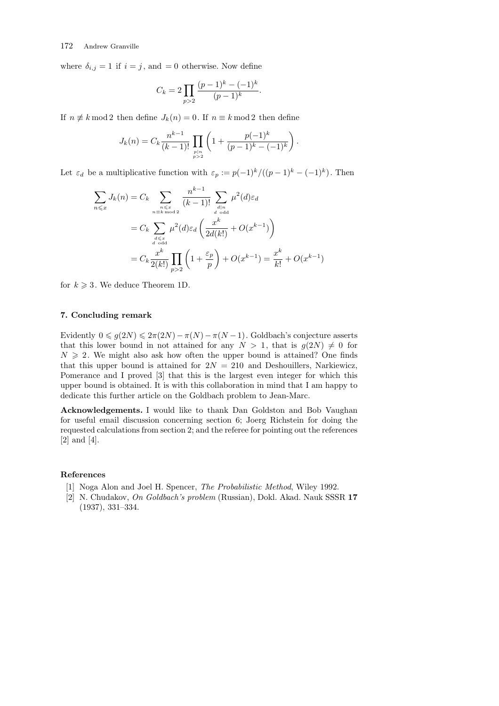where  $\delta_{i,j} = 1$  if  $i = j$ , and  $= 0$  otherwise. Now define

$$
C_k = 2 \prod_{p>2} \frac{(p-1)^k - (-1)^k}{(p-1)^k}.
$$

If  $n \neq k \mod 2$  then define  $J_k(n) = 0$ . If  $n \equiv k \mod 2$  then define

$$
J_k(n) = C_k \frac{n^{k-1}}{(k-1)!} \prod_{\substack{p \mid n \\ p > 2}} \left(1 + \frac{p(-1)^k}{(p-1)^k - (-1)^k}\right)
$$

*.*

Let  $\varepsilon_d$  be a multiplicative function with  $\varepsilon_p := p(-1)^k / ((p-1)^k - (-1)^k)$ . Then

$$
\sum_{n \leq x} J_k(n) = C_k \sum_{\substack{n \leq x \\ n \equiv k \mod 2}} \frac{n^{k-1}}{(k-1)!} \sum_{\substack{d \mid n \\ d \text{ odd}}} \mu^2(d) \varepsilon_d
$$

$$
= C_k \sum_{\substack{d \leq x \\ d \text{ odd}}} \mu^2(d) \varepsilon_d \left(\frac{x^k}{2d(k!)} + O(x^{k-1})\right)
$$

$$
= C_k \frac{x^k}{2(k!)} \prod_{p>2} \left(1 + \frac{\varepsilon_p}{p}\right) + O(x^{k-1}) = \frac{x^k}{k!} + O(x^{k-1})
$$

for  $k \geqslant 3$ . We deduce Theorem 1D.

# **7. Concluding remark**

Evidently  $0 \leq g(2N) \leq 2\pi(2N) - \pi(N) - \pi(N-1)$ . Goldbach's conjecture asserts that this lower bound in not attained for any  $N > 1$ , that is  $g(2N) \neq 0$  for  $N \geq 2$ . We might also ask how often the upper bound is attained? One finds that this upper bound is attained for  $2N = 210$  and Deshouillers, Narkiewicz, Pomerance and I proved [3] that this is the largest even integer for which this upper bound is obtained. It is with this collaboration in mind that I am happy to dedicate this further article on the Goldbach problem to Jean-Marc.

**Acknowledgements.** I would like to thank Dan Goldston and Bob Vaughan for useful email discussion concerning section 6; Joerg Richstein for doing the requested calculations from section 2; and the referee for pointing out the references [2] and [4].

## **References**

- [1] Noga Alon and Joel H. Spencer, *The Probabilistic Method*, Wiley 1992.
- [2] N. Chudakov, *On Goldbach's problem* (Russian), Dokl. Akad. Nauk SSSR **17** (1937), 331–334.